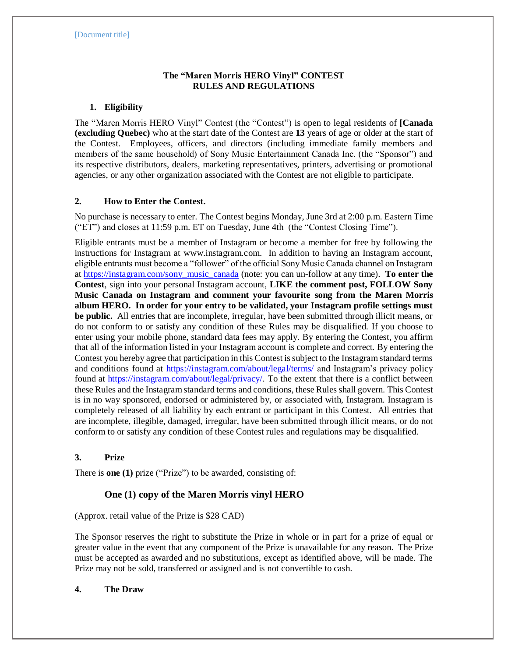# **The "Maren Morris HERO Vinyl" CONTEST RULES AND REGULATIONS**

## **1. Eligibility**

The "Maren Morris HERO Vinyl" Contest (the "Contest") is open to legal residents of **[Canada (excluding Quebec)** who at the start date of the Contest are **13** years of age or older at the start of the Contest. Employees, officers, and directors (including immediate family members and members of the same household) of Sony Music Entertainment Canada Inc. (the "Sponsor") and its respective distributors, dealers, marketing representatives, printers, advertising or promotional agencies, or any other organization associated with the Contest are not eligible to participate.

# **2. How to Enter the Contest.**

No purchase is necessary to enter. The Contest begins Monday, June 3rd at 2:00 p.m. Eastern Time ("ET") and closes at 11:59 p.m. ET on Tuesday, June 4th (the "Contest Closing Time").

Eligible entrants must be a member of Instagram or become a member for free by following the instructions for Instagram at www.instagram.com. In addition to having an Instagram account, eligible entrants must become a "follower" of the official Sony Music Canada channel on Instagram at [https://instagram.com/sony\\_music\\_canada](https://instagram.com/sony_music_canada) (note: you can un-follow at any time). **To enter the Contest**, sign into your personal Instagram account, **LIKE the comment post, FOLLOW Sony Music Canada on Instagram and comment your favourite song from the Maren Morris album HERO. In order for your entry to be validated, your Instagram profile settings must be public.** All entries that are incomplete, irregular, have been submitted through illicit means, or do not conform to or satisfy any condition of these Rules may be disqualified. If you choose to enter using your mobile phone, standard data fees may apply. By entering the Contest, you affirm that all of the information listed in your Instagram account is complete and correct. By entering the Contest you hereby agree that participation in this Contest is subject to the Instagram standard terms and conditions found at<https://instagram.com/about/legal/terms/> and Instagram's privacy policy found at [https://instagram.com/about/legal/privacy/.](https://instagram.com/about/legal/privacy/) To the extent that there is a conflict between these Rules and the Instagram standard terms and conditions, these Rules shall govern. This Contest is in no way sponsored, endorsed or administered by, or associated with, Instagram. Instagram is completely released of all liability by each entrant or participant in this Contest. All entries that are incomplete, illegible, damaged, irregular, have been submitted through illicit means, or do not conform to or satisfy any condition of these Contest rules and regulations may be disqualified.

### **3. Prize**

There is **one (1)** prize ("Prize") to be awarded, consisting of:

# **One (1) copy of the Maren Morris vinyl HERO**

### (Approx. retail value of the Prize is \$28 CAD)

The Sponsor reserves the right to substitute the Prize in whole or in part for a prize of equal or greater value in the event that any component of the Prize is unavailable for any reason. The Prize must be accepted as awarded and no substitutions, except as identified above, will be made. The Prize may not be sold, transferred or assigned and is not convertible to cash.

### **4. The Draw**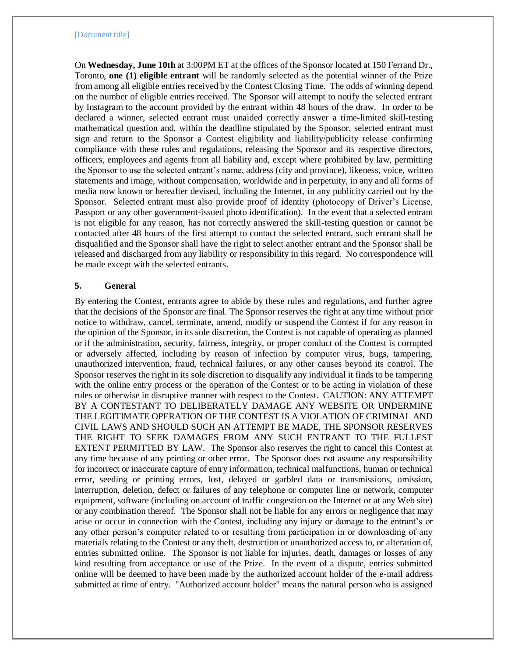#### [Document title]

On **Wednesday, June 10th** at 3:00PM ET at the offices of the Sponsor located at 150 Ferrand Dr., Toronto, **one (1) eligible entrant** will be randomly selected as the potential winner of the Prize from among all eligible entries received by the Contest Closing Time. The odds of winning depend on the number of eligible entries received. The Sponsor will attempt to notify the selected entrant by Instagram to the account provided by the entrant within 48 hours of the draw. In order to be declared a winner, selected entrant must unaided correctly answer a time-limited skill-testing mathematical question and, within the deadline stipulated by the Sponsor, selected entrant must sign and return to the Sponsor a Contest eligibility and liability/publicity release confirming compliance with these rules and regulations, releasing the Sponsor and its respective directors, officers, employees and agents from all liability and, except where prohibited by law, permitting the Sponsor to use the selected entrant's name, address (city and province), likeness, voice, written statements and image, without compensation, worldwide and in perpetuity, in any and all forms of media now known or hereafter devised, including the Internet, in any publicity carried out by the Sponsor. Selected entrant must also provide proof of identity (photocopy of Driver's License, Passport or any other government-issued photo identification). In the event that a selected entrant is not eligible for any reason, has not correctly answered the skill-testing question or cannot be contacted after 48 hours of the first attempt to contact the selected entrant, such entrant shall be disqualified and the Sponsor shall have the right to select another entrant and the Sponsor shall be released and discharged from any liability or responsibility in this regard. No correspondence will be made except with the selected entrants.

#### **5. General**

By entering the Contest, entrants agree to abide by these rules and regulations, and further agree that the decisions of the Sponsor are final. The Sponsor reserves the right at any time without prior notice to withdraw, cancel, terminate, amend, modify or suspend the Contest if for any reason in the opinion of the Sponsor, in its sole discretion, the Contest is not capable of operating as planned or if the administration, security, fairness, integrity, or proper conduct of the Contest is corrupted or adversely affected, including by reason of infection by computer virus, bugs, tampering, unauthorized intervention, fraud, technical failures, or any other causes beyond its control. The Sponsor reserves the right in its sole discretion to disqualify any individual it finds to be tampering with the online entry process or the operation of the Contest or to be acting in violation of these rules or otherwise in disruptive manner with respect to the Contest. CAUTION: ANY ATTEMPT BY A CONTESTANT TO DELIBERATELY DAMAGE ANY WEBSITE OR UNDERMINE THE LEGITIMATE OPERATION OF THE CONTEST IS A VIOLATION OF CRIMINAL AND CIVIL LAWS AND SHOULD SUCH AN ATTEMPT BE MADE, THE SPONSOR RESERVES THE RIGHT TO SEEK DAMAGES FROM ANY SUCH ENTRANT TO THE FULLEST EXTENT PERMITTED BY LAW.The Sponsor also reserves the right to cancel this Contest at any time because of any printing or other error. The Sponsor does not assume any responsibility for incorrect or inaccurate capture of entry information, technical malfunctions, human or technical error, seeding or printing errors, lost, delayed or garbled data or transmissions, omission, interruption, deletion, defect or failures of any telephone or computer line or network, computer equipment, software (including on account of traffic congestion on the Internet or at any Web site) or any combination thereof. The Sponsor shall not be liable for any errors or negligence that may arise or occur in connection with the Contest, including any injury or damage to the entrant's or any other person's computer related to or resulting from participation in or downloading of any materials relating to the Contest or any theft, destruction or unauthorized access to, or alteration of, entries submitted online. The Sponsor is not liable for injuries, death, damages or losses of any kind resulting from acceptance or use of the Prize. In the event of a dispute, entries submitted online will be deemed to have been made by the authorized account holder of the e-mail address submitted at time of entry. "Authorized account holder" means the natural person who is assigned